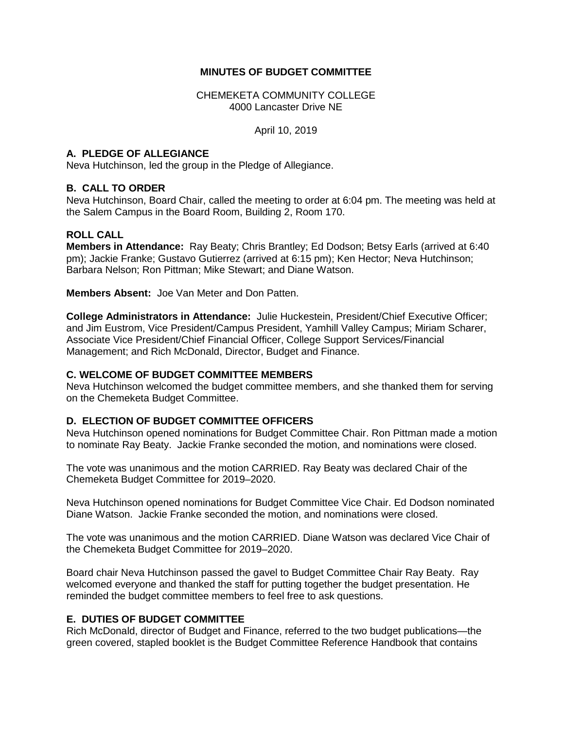#### **MINUTES OF BUDGET COMMITTEE**

CHEMEKETA COMMUNITY COLLEGE 4000 Lancaster Drive NE

April 10, 2019

## **A. PLEDGE OF ALLEGIANCE**

Neva Hutchinson, led the group in the Pledge of Allegiance.

## **B. CALL TO ORDER**

Neva Hutchinson, Board Chair, called the meeting to order at 6:04 pm. The meeting was held at the Salem Campus in the Board Room, Building 2, Room 170.

## **ROLL CALL**

**Members in Attendance:** Ray Beaty; Chris Brantley; Ed Dodson; Betsy Earls (arrived at 6:40 pm); Jackie Franke; Gustavo Gutierrez (arrived at 6:15 pm); Ken Hector; Neva Hutchinson; Barbara Nelson; Ron Pittman; Mike Stewart; and Diane Watson.

**Members Absent:** Joe Van Meter and Don Patten.

**College Administrators in Attendance:** Julie Huckestein, President/Chief Executive Officer; and Jim Eustrom, Vice President/Campus President, Yamhill Valley Campus; Miriam Scharer, Associate Vice President/Chief Financial Officer, College Support Services/Financial Management; and Rich McDonald, Director, Budget and Finance.

#### **C. WELCOME OF BUDGET COMMITTEE MEMBERS**

Neva Hutchinson welcomed the budget committee members, and she thanked them for serving on the Chemeketa Budget Committee.

#### **D. ELECTION OF BUDGET COMMITTEE OFFICERS**

Neva Hutchinson opened nominations for Budget Committee Chair. Ron Pittman made a motion to nominate Ray Beaty. Jackie Franke seconded the motion, and nominations were closed.

The vote was unanimous and the motion CARRIED. Ray Beaty was declared Chair of the Chemeketa Budget Committee for 2019–2020.

Neva Hutchinson opened nominations for Budget Committee Vice Chair. Ed Dodson nominated Diane Watson. Jackie Franke seconded the motion, and nominations were closed.

The vote was unanimous and the motion CARRIED. Diane Watson was declared Vice Chair of the Chemeketa Budget Committee for 2019–2020.

Board chair Neva Hutchinson passed the gavel to Budget Committee Chair Ray Beaty. Ray welcomed everyone and thanked the staff for putting together the budget presentation. He reminded the budget committee members to feel free to ask questions.

## **E. DUTIES OF BUDGET COMMITTEE**

Rich McDonald, director of Budget and Finance, referred to the two budget publications—the green covered, stapled booklet is the Budget Committee Reference Handbook that contains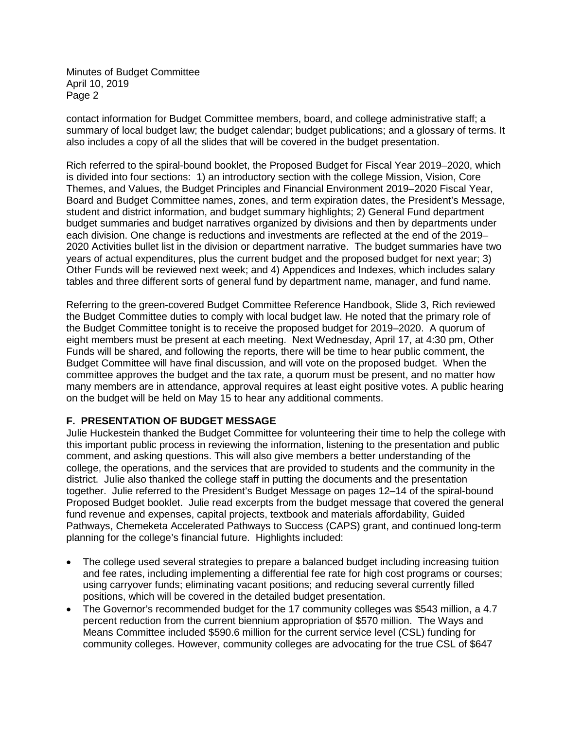contact information for Budget Committee members, board, and college administrative staff; a summary of local budget law; the budget calendar; budget publications; and a glossary of terms. It also includes a copy of all the slides that will be covered in the budget presentation.

Rich referred to the spiral-bound booklet, the Proposed Budget for Fiscal Year 2019–2020, which is divided into four sections: 1) an introductory section with the college Mission, Vision, Core Themes, and Values, the Budget Principles and Financial Environment 2019–2020 Fiscal Year, Board and Budget Committee names, zones, and term expiration dates, the President's Message, student and district information, and budget summary highlights; 2) General Fund department budget summaries and budget narratives organized by divisions and then by departments under each division. One change is reductions and investments are reflected at the end of the 2019– 2020 Activities bullet list in the division or department narrative. The budget summaries have two years of actual expenditures, plus the current budget and the proposed budget for next year; 3) Other Funds will be reviewed next week; and 4) Appendices and Indexes, which includes salary tables and three different sorts of general fund by department name, manager, and fund name.

Referring to the green-covered Budget Committee Reference Handbook, Slide 3, Rich reviewed the Budget Committee duties to comply with local budget law. He noted that the primary role of the Budget Committee tonight is to receive the proposed budget for 2019–2020. A quorum of eight members must be present at each meeting. Next Wednesday, April 17, at 4:30 pm, Other Funds will be shared, and following the reports, there will be time to hear public comment, the Budget Committee will have final discussion, and will vote on the proposed budget. When the committee approves the budget and the tax rate, a quorum must be present, and no matter how many members are in attendance, approval requires at least eight positive votes. A public hearing on the budget will be held on May 15 to hear any additional comments.

## **F. PRESENTATION OF BUDGET MESSAGE**

Julie Huckestein thanked the Budget Committee for volunteering their time to help the college with this important public process in reviewing the information, listening to the presentation and public comment, and asking questions. This will also give members a better understanding of the college, the operations, and the services that are provided to students and the community in the district. Julie also thanked the college staff in putting the documents and the presentation together. Julie referred to the President's Budget Message on pages 12–14 of the spiral-bound Proposed Budget booklet. Julie read excerpts from the budget message that covered the general fund revenue and expenses, capital projects, textbook and materials affordability, Guided Pathways, Chemeketa Accelerated Pathways to Success (CAPS) grant, and continued long-term planning for the college's financial future. Highlights included:

- The college used several strategies to prepare a balanced budget including increasing tuition and fee rates, including implementing a differential fee rate for high cost programs or courses; using carryover funds; eliminating vacant positions; and reducing several currently filled positions, which will be covered in the detailed budget presentation.
- The Governor's recommended budget for the 17 community colleges was \$543 million, a 4.7 percent reduction from the current biennium appropriation of \$570 million. The Ways and Means Committee included \$590.6 million for the current service level (CSL) funding for community colleges. However, community colleges are advocating for the true CSL of \$647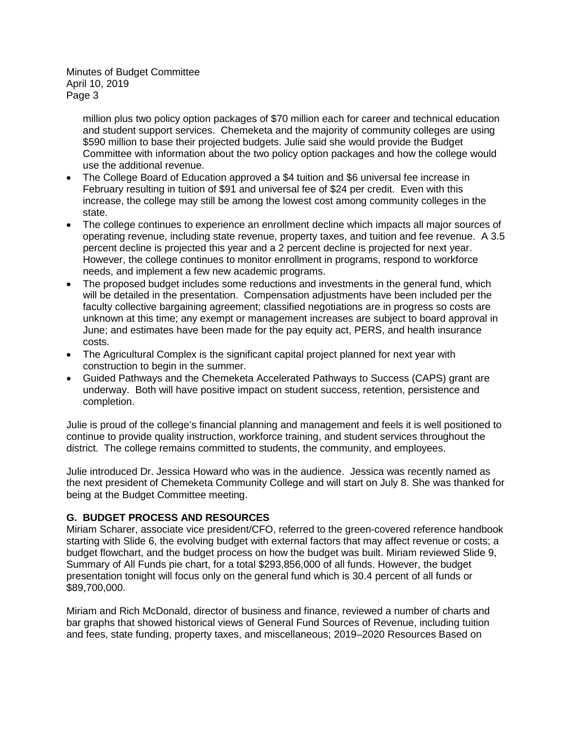> million plus two policy option packages of \$70 million each for career and technical education and student support services. Chemeketa and the majority of community colleges are using \$590 million to base their projected budgets. Julie said she would provide the Budget Committee with information about the two policy option packages and how the college would use the additional revenue.

- The College Board of Education approved a \$4 tuition and \$6 universal fee increase in February resulting in tuition of \$91 and universal fee of \$24 per credit. Even with this increase, the college may still be among the lowest cost among community colleges in the state.
- The college continues to experience an enrollment decline which impacts all major sources of operating revenue, including state revenue, property taxes, and tuition and fee revenue. A 3.5 percent decline is projected this year and a 2 percent decline is projected for next year. However, the college continues to monitor enrollment in programs, respond to workforce needs, and implement a few new academic programs.
- The proposed budget includes some reductions and investments in the general fund, which will be detailed in the presentation. Compensation adjustments have been included per the faculty collective bargaining agreement; classified negotiations are in progress so costs are unknown at this time; any exempt or management increases are subject to board approval in June; and estimates have been made for the pay equity act, PERS, and health insurance costs.
- The Agricultural Complex is the significant capital project planned for next year with construction to begin in the summer.
- Guided Pathways and the Chemeketa Accelerated Pathways to Success (CAPS) grant are underway. Both will have positive impact on student success, retention, persistence and completion.

Julie is proud of the college's financial planning and management and feels it is well positioned to continue to provide quality instruction, workforce training, and student services throughout the district. The college remains committed to students, the community, and employees.

Julie introduced Dr. Jessica Howard who was in the audience. Jessica was recently named as the next president of Chemeketa Community College and will start on July 8. She was thanked for being at the Budget Committee meeting.

# **G. BUDGET PROCESS AND RESOURCES**

Miriam Scharer, associate vice president/CFO, referred to the green-covered reference handbook starting with Slide 6, the evolving budget with external factors that may affect revenue or costs; a budget flowchart, and the budget process on how the budget was built. Miriam reviewed Slide 9, Summary of All Funds pie chart, for a total \$293,856,000 of all funds. However, the budget presentation tonight will focus only on the general fund which is 30.4 percent of all funds or \$89,700,000.

Miriam and Rich McDonald, director of business and finance, reviewed a number of charts and bar graphs that showed historical views of General Fund Sources of Revenue, including tuition and fees, state funding, property taxes, and miscellaneous; 2019–2020 Resources Based on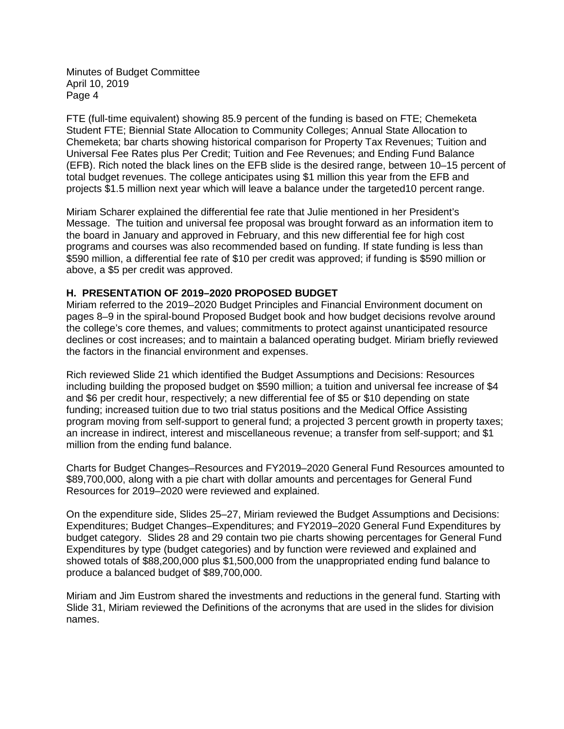FTE (full-time equivalent) showing 85.9 percent of the funding is based on FTE; Chemeketa Student FTE; Biennial State Allocation to Community Colleges; Annual State Allocation to Chemeketa; bar charts showing historical comparison for Property Tax Revenues; Tuition and Universal Fee Rates plus Per Credit; Tuition and Fee Revenues; and Ending Fund Balance (EFB). Rich noted the black lines on the EFB slide is the desired range, between 10–15 percent of total budget revenues. The college anticipates using \$1 million this year from the EFB and projects \$1.5 million next year which will leave a balance under the targeted10 percent range.

Miriam Scharer explained the differential fee rate that Julie mentioned in her President's Message. The tuition and universal fee proposal was brought forward as an information item to the board in January and approved in February, and this new differential fee for high cost programs and courses was also recommended based on funding. If state funding is less than \$590 million, a differential fee rate of \$10 per credit was approved; if funding is \$590 million or above, a \$5 per credit was approved.

#### **H. PRESENTATION OF 2019–2020 PROPOSED BUDGET**

Miriam referred to the 2019–2020 Budget Principles and Financial Environment document on pages 8–9 in the spiral-bound Proposed Budget book and how budget decisions revolve around the college's core themes, and values; commitments to protect against unanticipated resource declines or cost increases; and to maintain a balanced operating budget. Miriam briefly reviewed the factors in the financial environment and expenses.

Rich reviewed Slide 21 which identified the Budget Assumptions and Decisions: Resources including building the proposed budget on \$590 million; a tuition and universal fee increase of \$4 and \$6 per credit hour, respectively; a new differential fee of \$5 or \$10 depending on state funding; increased tuition due to two trial status positions and the Medical Office Assisting program moving from self-support to general fund; a projected 3 percent growth in property taxes; an increase in indirect, interest and miscellaneous revenue; a transfer from self-support; and \$1 million from the ending fund balance.

Charts for Budget Changes–Resources and FY2019–2020 General Fund Resources amounted to \$89,700,000, along with a pie chart with dollar amounts and percentages for General Fund Resources for 2019–2020 were reviewed and explained.

On the expenditure side, Slides 25–27, Miriam reviewed the Budget Assumptions and Decisions: Expenditures; Budget Changes–Expenditures; and FY2019–2020 General Fund Expenditures by budget category. Slides 28 and 29 contain two pie charts showing percentages for General Fund Expenditures by type (budget categories) and by function were reviewed and explained and showed totals of \$88,200,000 plus \$1,500,000 from the unappropriated ending fund balance to produce a balanced budget of \$89,700,000.

Miriam and Jim Eustrom shared the investments and reductions in the general fund. Starting with Slide 31, Miriam reviewed the Definitions of the acronyms that are used in the slides for division names.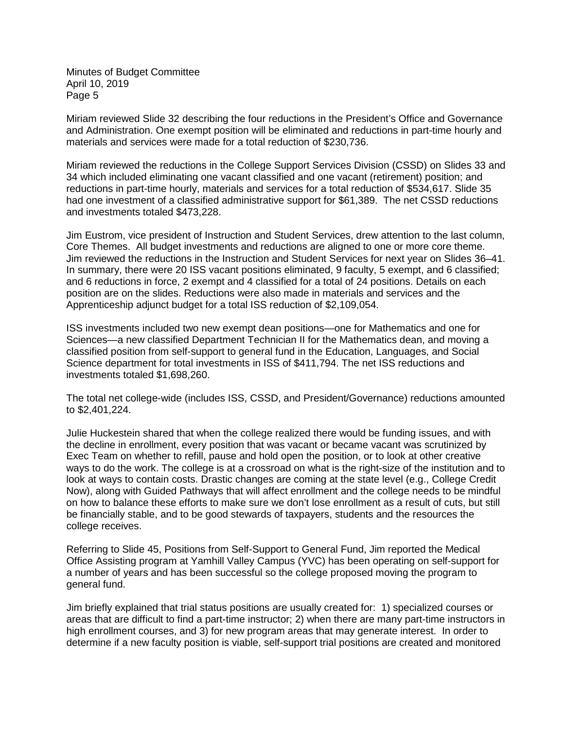Miriam reviewed Slide 32 describing the four reductions in the President's Office and Governance and Administration. One exempt position will be eliminated and reductions in part-time hourly and materials and services were made for a total reduction of \$230,736.

Miriam reviewed the reductions in the College Support Services Division (CSSD) on Slides 33 and 34 which included eliminating one vacant classified and one vacant (retirement) position; and reductions in part-time hourly, materials and services for a total reduction of \$534,617. Slide 35 had one investment of a classified administrative support for \$61,389. The net CSSD reductions and investments totaled \$473,228.

Jim Eustrom, vice president of Instruction and Student Services, drew attention to the last column, Core Themes. All budget investments and reductions are aligned to one or more core theme. Jim reviewed the reductions in the Instruction and Student Services for next year on Slides 36–41. In summary, there were 20 ISS vacant positions eliminated, 9 faculty, 5 exempt, and 6 classified; and 6 reductions in force, 2 exempt and 4 classified for a total of 24 positions. Details on each position are on the slides. Reductions were also made in materials and services and the Apprenticeship adjunct budget for a total ISS reduction of \$2,109,054.

ISS investments included two new exempt dean positions—one for Mathematics and one for Sciences—a new classified Department Technician II for the Mathematics dean, and moving a classified position from self-support to general fund in the Education, Languages, and Social Science department for total investments in ISS of \$411,794. The net ISS reductions and investments totaled \$1,698,260.

The total net college-wide (includes ISS, CSSD, and President/Governance) reductions amounted to \$2,401,224.

Julie Huckestein shared that when the college realized there would be funding issues, and with the decline in enrollment, every position that was vacant or became vacant was scrutinized by Exec Team on whether to refill, pause and hold open the position, or to look at other creative ways to do the work. The college is at a crossroad on what is the right-size of the institution and to look at ways to contain costs. Drastic changes are coming at the state level (e.g., College Credit Now), along with Guided Pathways that will affect enrollment and the college needs to be mindful on how to balance these efforts to make sure we don't lose enrollment as a result of cuts, but still be financially stable, and to be good stewards of taxpayers, students and the resources the college receives.

Referring to Slide 45, Positions from Self-Support to General Fund, Jim reported the Medical Office Assisting program at Yamhill Valley Campus (YVC) has been operating on self-support for a number of years and has been successful so the college proposed moving the program to general fund.

Jim briefly explained that trial status positions are usually created for: 1) specialized courses or areas that are difficult to find a part-time instructor; 2) when there are many part-time instructors in high enrollment courses, and 3) for new program areas that may generate interest. In order to determine if a new faculty position is viable, self-support trial positions are created and monitored